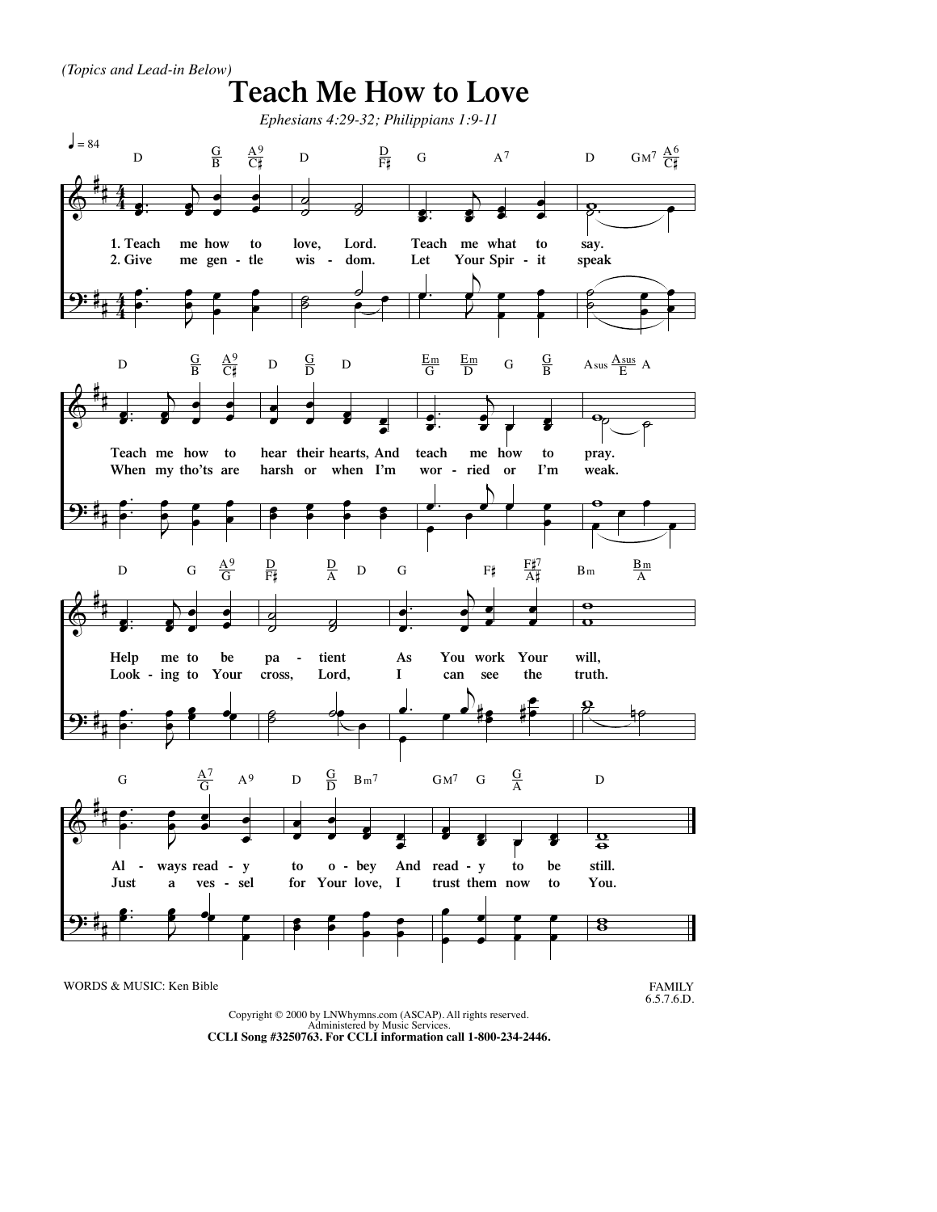*(Topics and Lead-in Below)*



Copyright © 2000 by LNWhymns.com (ASCAP). All rights reserved. Administered by Music Services. **CCLI Song #3250763. For CCLI information call 1-800-234-2446.**